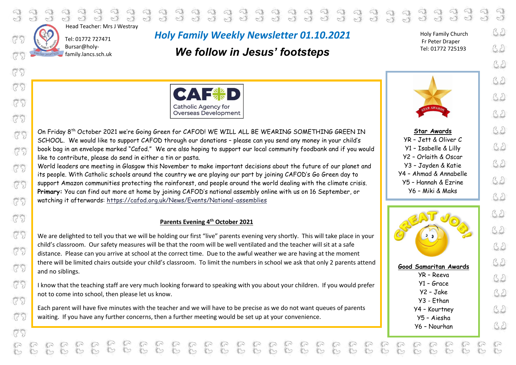

775

(25)

(25)

(25)

 $\begin{array}{c} \mathcal{Q} \\ \mathcal{Q} \end{array}$ Head Teacher: Mrs J Westray

 Tel: 01772 727471 Bursar@holy- $\int$  family.lancs.sch.uk

# *Holy Family Weekly Newsletter 01.10.2021*

 $\begin{array}{l} \mathbf{d} & \mathbf{d} & \mathbf{d} & \mathbf{d} & \mathbf{d} & \mathbf{d} & \mathbf{d} & \mathbf{d} & \mathbf{d} & \mathbf{d} & \mathbf{d} & \mathbf{d} \\ \mathbf{d} & \mathbf{d} & \mathbf{d} & \mathbf{d} & \mathbf{d} & \mathbf{d} & \mathbf{d} & \mathbf{d} & \mathbf{d} & \mathbf{d} & \mathbf{d} & \mathbf{d} \\ \mathbf{d} & \mathbf{d} & \mathbf{d} & \mathbf{d} & \mathbf{d} & \mathbf{d} & \mathbf$ 

# *We follow in Jesus' footsteps*

Holy Family Church Fr Peter Draper Tel: 01772 725193

 $\begin{array}{c} 3 & 3 & 3 \\ 3 & 3 & 3 \end{array}$ 





**Star Awards** YR – Jett & Oliver C Y1 – Isabelle & Lilly Y2 – Orlaith & Oscar Y3 – Jayden & Katie Y4 – Ahmad & Annabelle Y5 – Hannah & Ezrine Y6 – Miki & Maks



On Friday 8<sup>th</sup> October 2021 we're Going Green for CAFOD! WE WILL ALL BE WEARING SOMETHING GREEN IN SCHOOL. We would like to support CAFOD through our donations – please can you send any money in your child's book bag in an envelope marked "Cafod." We are also hoping to support our local community foodbank and if you would like to contribute, please do send in either a tin or pasta.

World leaders are meeting in Glasgow this November to make important decisions about the future of our planet and its people. With Catholic schools around the country we are playing our part by joining CAFOD's Go Green day to support Amazon communities protecting the rainforest, and people around the world dealing with the climate crisis. **Primary:** You can find out more at home by joining CAFOD's national assembly online with us on 16 September, or watching it afterwards: <https://cafod.org.uk/News/Events/National-assemblies>

# **Parents Evening 4th October 2021**

We are delighted to tell you that we will be holding our first "live" parents evening very shortly. This will take place in your child's classroom. Our safety measures will be that the room will be well ventilated and the teacher will sit at a safe distance. Please can you arrive at school at the correct time. Due to the awful weather we are having at the moment there will be limited chairs outside your child's classroom. To limit the numbers in school we ask that only 2 parents attend and no siblings.

I know that the teaching staff are very much looking forward to speaking with you about your children. If you would prefer not to come into school, then please let us know.

Each parent will have five minutes with the teacher and we will have to be precise as we do not want queues of parents waiting. If you have any further concerns, then a further meeting would be set up at your convenience.

P.

 $32$ 

 $32$